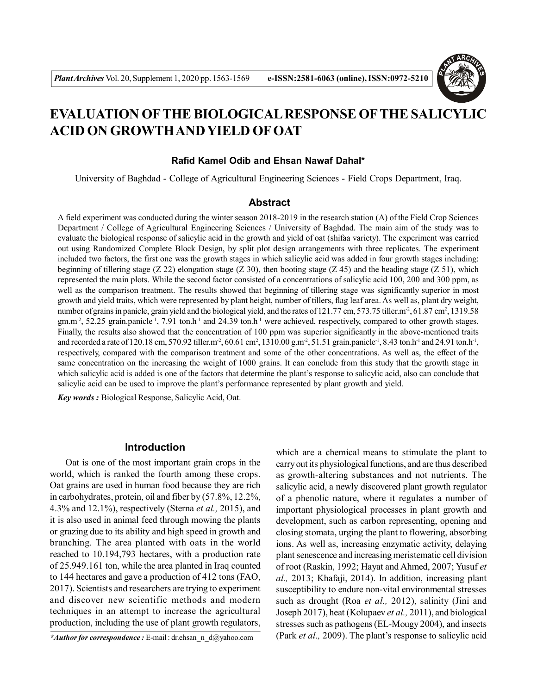

# **EVALUATION OFTHE BIOLOGICAL RESPONSE OFTHE SALICYLIC ACID ON GROWTH AND YIELD OF OAT**

# **Rafid Kamel Odib and Ehsan Nawaf Dahal\***

University of Baghdad - College of Agricultural Engineering Sciences - Field Crops Department, Iraq.

## **Abstract**

A field experiment was conducted during the winter season 2018-2019 in the research station (A) of the Field Crop Sciences Department / College of Agricultural Engineering Sciences / University of Baghdad. The main aim of the study was to evaluate the biological response of salicylic acid in the growth and yield of oat (shifaa variety). The experiment was carried out using Randomized Complete Block Design, by split plot design arrangements with three replicates. The experiment included two factors, the first one was the growth stages in which salicylic acid was added in four growth stages including: beginning of tillering stage (Z 22) elongation stage (Z 30), then booting stage (Z 45) and the heading stage (Z 51), which represented the main plots. While the second factor consisted of a concentrations of salicylic acid 100, 200 and 300 ppm, as well as the comparison treatment. The results showed that beginning of tillering stage was significantly superior in most growth and yield traits, which were represented by plant height, number of tillers, flag leaf area. As well as, plant dry weight, number of grains in panicle, grain yield and the biological yield, and the rates of  $121.77$  cm,  $573.75$  tiller.m<sup>2</sup>, 61.87 cm<sup>2</sup>, 1319.58  $gm.m<sup>2</sup>$ , 52.25 grain.panicle<sup>-1</sup>, 7.91 ton.h<sup>-1</sup> and 24.39 ton.h<sup>-1</sup> were achieved, respectively, compared to other growth stages. Finally, the results also showed that the concentration of 100 ppm was superior significantly in the above-mentioned traits and recorded a rate of 120.18 cm, 570.92 tiller.m<sup>2</sup>, 60.61 cm<sup>2</sup>, 1310.00 g.m<sup>2</sup>, 51.51 grain.panicle<sup>-1</sup>, 8.43 ton.h<sup>-1</sup> and 24.91 ton.h<sup>-1</sup>, respectively, compared with the comparison treatment and some of the other concentrations. As well as, the effect of the same concentration on the increasing the weight of 1000 grains. It can conclude from this study that the growth stage in which salicylic acid is added is one of the factors that determine the plant's response to salicylic acid, also can conclude that salicylic acid can be used to improve the plant's performance represented by plant growth and yield.

*Key words :* Biological Response, Salicylic Acid, Oat.

# **Introduction**

Oat is one of the most important grain crops in the world, which is ranked the fourth among these crops. Oat grains are used in human food because they are rich in carbohydrates, protein, oil and fiber by (57.8%, 12.2%, 4.3% and 12.1%), respectively (Sterna *et al.,* 2015), and it is also used in animal feed through mowing the plants or grazing due to its ability and high speed in growth and branching. The area planted with oats in the world reached to 10.194,793 hectares, with a production rate of 25.949.161 ton, while the area planted in Iraq counted to 144 hectares and gave a production of 412 tons (FAO, 2017). Scientists and researchers are trying to experiment and discover new scientific methods and modern techniques in an attempt to increase the agricultural production, including the use of plant growth regulators,

*\*Author for correspondence :* E-mail : dr.ehsan\_n\_d@yahoo.com

which are a chemical means to stimulate the plant to carry out its physiological functions, and are thus described as growth-altering substances and not nutrients. The salicylic acid, a newly discovered plant growth regulator of a phenolic nature, where it regulates a number of important physiological processes in plant growth and development, such as carbon representing, opening and closing stomata, urging the plant to flowering, absorbing ions. As well as, increasing enzymatic activity, delaying plant senescence and increasing meristematic cell division of root (Raskin, 1992; Hayat and Ahmed, 2007; Yusuf *et al.,* 2013; Khafaji, 2014). In addition, increasing plant susceptibility to endure non-vital environmental stresses such as drought (Roa *et al.,* 2012), salinity (Jini and Joseph 2017), heat (Kolupaev *et al.,* 2011), and biological stresses such as pathogens (EL-Mougy 2004), and insects (Park *et al.,* 2009). The plant's response to salicylic acid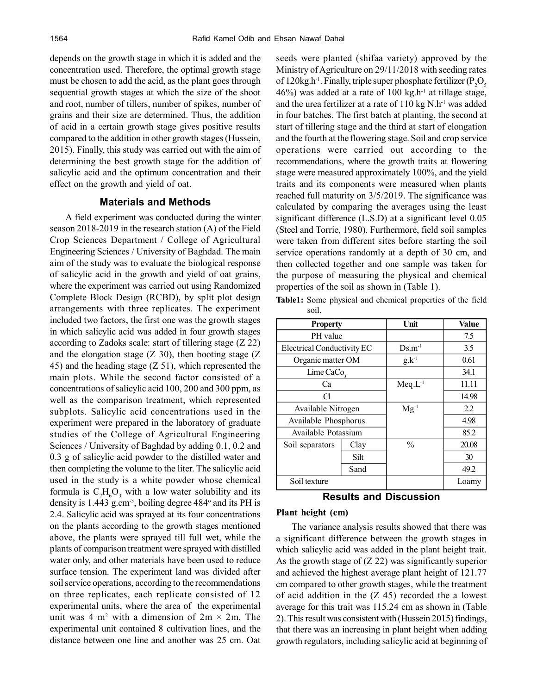depends on the growth stage in which it is added and the concentration used. Therefore, the optimal growth stage must be chosen to add the acid, as the plant goes through sequential growth stages at which the size of the shoot and root, number of tillers, number of spikes, number of grains and their size are determined. Thus, the addition of acid in a certain growth stage gives positive results compared to the addition in other growth stages (Hussein, 2015). Finally, this study was carried out with the aim of determining the best growth stage for the addition of salicylic acid and the optimum concentration and their effect on the growth and yield of oat.

# **Materials and Methods**

A field experiment was conducted during the winter season 2018-2019 in the research station (A) of the Field Crop Sciences Department / College of Agricultural Engineering Sciences / University of Baghdad. The main aim of the study was to evaluate the biological response of salicylic acid in the growth and yield of oat grains, where the experiment was carried out using Randomized Complete Block Design (RCBD), by split plot design arrangements with three replicates. The experiment included two factors, the first one was the growth stages in which salicylic acid was added in four growth stages according to Zadoks scale: start of tillering stage (Z 22) and the elongation stage  $(Z\ 30)$ , then booting stage  $(Z\ 30)$ 45) and the heading stage (Z 51), which represented the main plots. While the second factor consisted of a concentrations of salicylic acid 100, 200 and 300 ppm, as well as the comparison treatment, which represented subplots. Salicylic acid concentrations used in the experiment were prepared in the laboratory of graduate studies of the College of Agricultural Engineering Sciences / University of Baghdad by adding 0.1, 0.2 and 0.3 g of salicylic acid powder to the distilled water and then completing the volume to the liter. The salicylic acid used in the study is a white powder whose chemical formula is  $C_7H_6O_3$  with a low water solubility and its density is  $1.443$  g.cm<sup>-3</sup>, boiling degree  $484^\circ$  and its PH is 2.4. Salicylic acid was sprayed at its four concentrations on the plants according to the growth stages mentioned above, the plants were sprayed till full wet, while the plants of comparison treatment were sprayed with distilled water only, and other materials have been used to reduce surface tension. The experiment land was divided after soil service operations, according to the recommendations on three replicates, each replicate consisted of 12 experimental units, where the area of the experimental unit was 4 m<sup>2</sup> with a dimension of  $2m \times 2m$ . The experimental unit contained 8 cultivation lines, and the distance between one line and another was 25 cm. Oat seeds were planted (shifaa variety) approved by the Ministry of Agriculture on 29/11/2018 with seeding rates of 120kg.h<sup>-1</sup>. Finally, triple super phosphate fertilizer ( $P_2O_5$ )  $46\%$ ) was added at a rate of 100 kg.h<sup>-1</sup> at tillage stage, and the urea fertilizer at a rate of  $110 \text{ kg N}$ .h<sup>-1</sup> was added in four batches. The first batch at planting, the second at start of tillering stage and the third at start of elongation and the fourth at the flowering stage. Soil and crop service operations were carried out according to the recommendations, where the growth traits at flowering stage were measured approximately 100%, and the yield traits and its components were measured when plants reached full maturity on 3/5/2019. The significance was calculated by comparing the averages using the least significant difference (L.S.D) at a significant level 0.05 (Steel and Torrie, 1980). Furthermore, field soil samples were taken from different sites before starting the soil service operations randomly at a depth of 30 cm, and then collected together and one sample was taken for the purpose of measuring the physical and chemical properties of the soil as shown in (Table 1).

**Table1:** Some physical and chemical properties of the field soil.

| <b>Property</b>            |      | Unit              | <b>Value</b> |
|----------------------------|------|-------------------|--------------|
| PH value                   |      |                   | 7.5          |
| Electrical Conductivity EC |      | $Ds.m-1$          | 3.5          |
| Organic matter OM          |      | $g_{\cdot}k^{-1}$ | 0.61         |
| Lime CaCo <sub>3</sub>     |      |                   | 34.1         |
| Ca                         |      | $Meq.L^{-1}$      | 11.11        |
| а                          |      |                   | 14.98        |
| Available Nitrogen         |      | $Mg^{-1}$         | 2.2          |
| Available Phosphorus       |      |                   | 4.98         |
| Available Potassium        |      |                   | 85.2         |
| Soil separators            | Clay | $\frac{0}{0}$     | 20.08        |
|                            | Silt |                   | 30           |
|                            | Sand |                   | 49.2         |
| Soil texture               |      |                   | Loamy        |

# **Results and Discussion**

#### **Plant height (cm)**

The variance analysis results showed that there was a significant difference between the growth stages in which salicylic acid was added in the plant height trait. As the growth stage of  $(Z 22)$  was significantly superior and achieved the highest average plant height of 121.77 cm compared to other growth stages, while the treatment of acid addition in the  $(Z 45)$  recorded the a lowest average for this trait was 115.24 cm as shown in (Table 2). This result was consistent with (Hussein 2015) findings, that there was an increasing in plant height when adding growth regulators, including salicylic acid at beginning of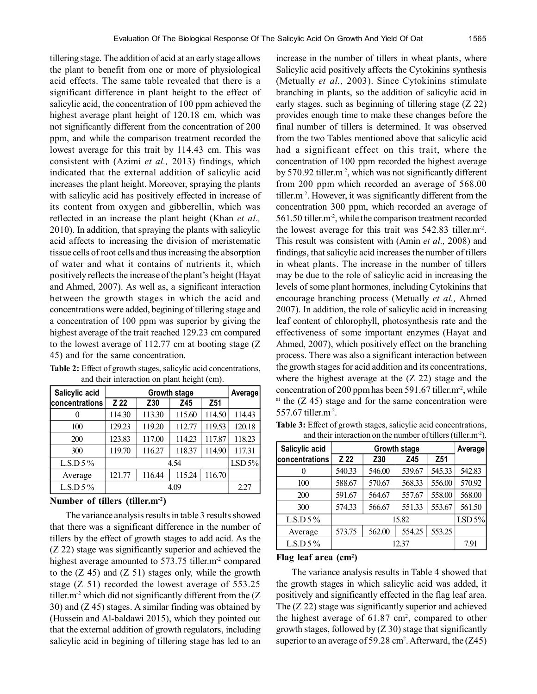tillering stage. The addition of acid at an early stage allows the plant to benefit from one or more of physiological acid effects. The same table revealed that there is a significant difference in plant height to the effect of salicylic acid, the concentration of 100 ppm achieved the highest average plant height of 120.18 cm, which was not significantly different from the concentration of 200 ppm, and while the comparison treatment recorded the lowest average for this trait by 114.43 cm. This was consistent with (Azimi *et al.,* 2013) findings, which indicated that the external addition of salicylic acid increases the plant height. Moreover, spraying the plants with salicylic acid has positively effected in increase of its content from oxygen and gibberellin, which was reflected in an increase the plant height (Khan *et al.,* 2010). In addition, that spraying the plants with salicylic acid affects to increasing the division of meristematic tissue cells of root cells and thus increasing the absorption of water and what it contains of nutrients it, which positively reflects the increase of the plant's height (Hayat and Ahmed, 2007). As well as, a significant interaction between the growth stages in which the acid and concentrations were added, begining of tillering stage and a concentration of 100 ppm was superior by giving the highest average of the trait reached 129.23 cm compared to the lowest average of 112.77 cm at booting stage (Z 45) and for the same concentration.

| Salicylic acid |        |        | Average |        |        |
|----------------|--------|--------|---------|--------|--------|
| concentrations | Z 22   | Z30    | Z45     | Z51    |        |
| 0              | 114.30 | 113.30 | 115.60  | 114.50 | 114.43 |
| 100            | 129.23 | 119.20 | 112.77  | 119.53 | 120.18 |
| 200            | 123.83 | 117.00 | 114.23  | 117.87 | 118.23 |
| 300            | 119.70 | 116.27 | 118.37  | 114.90 | 117.31 |
| $L.S.D 5\%$    |        |        | 4.54    |        | LSD 5% |
| Average        | 121.77 | 116.44 | 115.24  | 116.70 |        |
| $L.S.D 5 \%$   |        |        | 4.09    |        | 2.27   |

**Table 2:** Effect of growth stages, salicylic acid concentrations, and their interaction on plant height (cm).

#### **Number of tillers (tiller.m-2)**

The variance analysis results in table 3 results showed that there was a significant difference in the number of tillers by the effect of growth stages to add acid. As the (Z 22) stage was significantly superior and achieved the highest average amounted to 573.75 tiller.m<sup>-2</sup> compared to the  $(Z 45)$  and  $(Z 51)$  stages only, while the growth stage (Z 51) recorded the lowest average of 553.25 tiller.m<sup>-2</sup> which did not significantly different from the  $(Z)$ 30) and (Z 45) stages. A similar finding was obtained by (Hussein and Al-baldawi 2015), which they pointed out that the external addition of growth regulators, including salicylic acid in begining of tillering stage has led to an

increase in the number of tillers in wheat plants, where Salicylic acid positively affects the Cytokinins synthesis (Metually *et al.,* 2003). Since Cytokinins stimulate branching in plants, so the addition of salicylic acid in early stages, such as beginning of tillering stage (Z 22) provides enough time to make these changes before the final number of tillers is determined. It was observed from the two Tables mentioned above that salicylic acid had a significant effect on this trait, where the concentration of 100 ppm recorded the highest average by 570.92 tiller.m-2, which was not significantly different from 200 ppm which recorded an average of 568.00 tiller.m-2. However, it was significantly different from the concentration 300 ppm, which recorded an average of 561.50 tiller.m-2, while the comparison treatment recorded the lowest average for this trait was 542.83 tiller.m-2 . This result was consistent with (Amin *et al.,* 2008) and findings, that salicylic acid increases the number of tillers in wheat plants. The increase in the number of tillers may be due to the role of salicylic acid in increasing the levels of some plant hormones, including Cytokinins that encourage branching process (Metually *et al.,* Ahmed 2007). In addition, the role of salicylic acid in increasing leaf content of chlorophyll, photosynthesis rate and the effectiveness of some important enzymes (Hayat and Ahmed, 2007), which positively effect on the branching process. There was also a significant interaction between the growth stages for acid addition and its concentrations, where the highest average at the (Z 22) stage and the concentration of 200 ppm has been 591.67 tiller.m<sup>-2</sup>, while <sup>at</sup> the  $(Z 45)$  stage and for the same concentration were 557.67 tiller.m-2 .

| <b>Table 3:</b> Effect of growth stages, salicylic acid concentrations, |                                                                           |  |  |  |
|-------------------------------------------------------------------------|---------------------------------------------------------------------------|--|--|--|
|                                                                         | and their interaction on the number of tillers (tiller.m <sup>-2</sup> ). |  |  |  |

| Salicylic acid        |        | <b>Growth stage</b> |        |                 |        |  |  |
|-----------------------|--------|---------------------|--------|-----------------|--------|--|--|
| <b>concentrations</b> | Z 22   | Z30                 | Z45    | Z <sub>51</sub> |        |  |  |
|                       | 540.33 | 546.00              | 539.67 | 545.33          | 542.83 |  |  |
| 100                   | 588.67 | 570.67              | 568.33 | 556.00          | 570.92 |  |  |
| 200                   | 591.67 | 564.67              | 557.67 | 558.00          | 568.00 |  |  |
| 300                   | 574.33 | 566.67              | 551.33 | 553.67          | 561.50 |  |  |
| L.S.D $5\%$           |        |                     | 15.82  |                 | LSD 5% |  |  |
| Average               | 573.75 | 562.00              | 554.25 | 553.25          |        |  |  |
| L.S.D $5\%$           |        |                     | 12.37  |                 | 7.91   |  |  |

## **Flag leaf area (cm<sup>2</sup> )**

The variance analysis results in Table 4 showed that the growth stages in which salicylic acid was added, it positively and significantly effected in the flag leaf area. The (Z 22) stage was significantly superior and achieved the highest average of  $61.87 \text{ cm}^2$ , compared to other growth stages, followed by  $(Z 30)$  stage that significantly superior to an average of 59.28 cm<sup>2</sup>. Afterward, the  $(Z45)$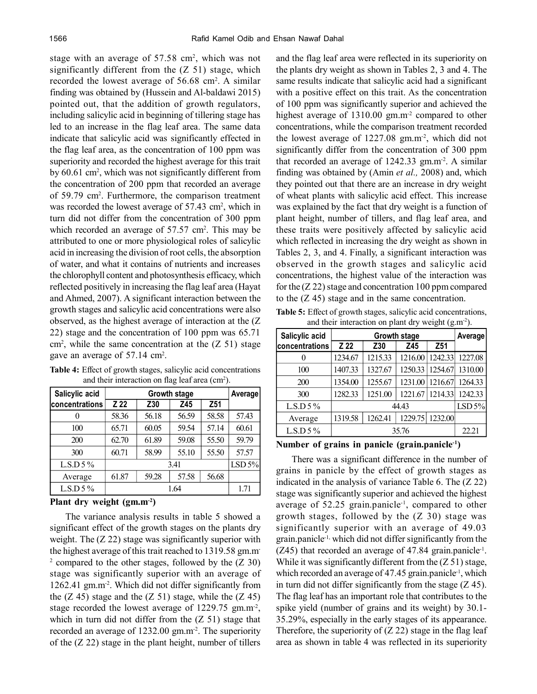stage with an average of 57.58 cm<sup>2</sup>, which was not significantly different from the (Z 51) stage, which recorded the lowest average of 56.68 cm<sup>2</sup>. A similar finding was obtained by (Hussein and Al-baldawi 2015) pointed out, that the addition of growth regulators, including salicylic acid in beginning of tillering stage has led to an increase in the flag leaf area. The same data indicate that salicylic acid was significantly effected in the flag leaf area, as the concentration of 100 ppm was superiority and recorded the highest average for this trait by 60.61 cm<sup>2</sup>, which was not significantly different from the concentration of 200 ppm that recorded an average of 59.79 cm<sup>2</sup> . Furthermore, the comparison treatment was recorded the lowest average of 57.43 cm<sup>2</sup>, which in turn did not differ from the concentration of 300 ppm which recorded an average of  $57.57 \text{ cm}^2$ . This may be attributed to one or more physiological roles of salicylic acid in increasing the division of root cells, the absorption of water, and what it contains of nutrients and increases the chlorophyll content and photosynthesis efficacy, which reflected positively in increasing the flag leaf area (Hayat and Ahmed, 2007). A significant interaction between the growth stages and salicylic acid concentrations were also observed, as the highest average of interaction at the (Z 22) stage and the concentration of 100 ppm was 65.71  $\text{cm}^2$ , while the same concentration at the (Z 51) stage gave an average of 57.14 cm<sup>2</sup> .

| Salicylic acid |       | <b>Growth stage</b> |       |                 |        |  |  |
|----------------|-------|---------------------|-------|-----------------|--------|--|--|
| concentrations | Z 22  | Z30                 | Z45   | Z <sub>51</sub> |        |  |  |
|                | 58.36 | 56.18               | 56.59 | 58.58           | 57.43  |  |  |
| 100            | 65.71 | 60.05               | 59.54 | 57.14           | 60.61  |  |  |
| 200            | 62.70 | 61.89               | 59.08 | 55.50           | 59.79  |  |  |
| 300            | 60.71 | 58.99               | 55.10 | 55.50           | 57.57  |  |  |
| $L.S.D 5\%$    |       |                     | 3.41  |                 | LSD 5% |  |  |
| Average        | 61.87 | 59.28               | 57.58 | 56.68           |        |  |  |
| $L.S.D 5\%$    |       |                     | 1.64  |                 | 1.71   |  |  |

**Table 4:** Effect of growth stages, salicylic acid concentrations and their interaction on flag leaf area (cm<sup>2</sup>).

#### **Plant dry weight (gm.m-2)**

The variance analysis results in table 5 showed a significant effect of the growth stages on the plants dry weight. The  $(Z 22)$  stage was significantly superior with the highest average of this trait reached to 1319.58 gm.m-<sup>2</sup> compared to the other stages, followed by the  $(Z\,30)$ stage was significantly superior with an average of 1262.41 gm.m-2. Which did not differ significantly from the  $(Z 45)$  stage and the  $(Z 51)$  stage, while the  $(Z 45)$ stage recorded the lowest average of 1229.75 gm.m<sup>-2</sup>, which in turn did not differ from the  $(Z 51)$  stage that recorded an average of 1232.00 gm.m-2. The superiority of the (Z 22) stage in the plant height, number of tillers and the flag leaf area were reflected in its superiority on the plants dry weight as shown in Tables 2, 3 and 4. The same results indicate that salicylic acid had a significant with a positive effect on this trait. As the concentration of 100 ppm was significantly superior and achieved the highest average of 1310.00 gm.m<sup>-2</sup> compared to other concentrations, while the comparison treatment recorded the lowest average of 1227.08 gm.m<sup>-2</sup>, which did not significantly differ from the concentration of 300 ppm that recorded an average of  $1242.33$  gm.m<sup>-2</sup>. A similar finding was obtained by (Amin *et al.,* 2008) and, which they pointed out that there are an increase in dry weight of wheat plants with salicylic acid effect. This increase was explained by the fact that dry weight is a function of plant height, number of tillers, and flag leaf area, and these traits were positively affected by salicylic acid which reflected in increasing the dry weight as shown in Tables 2, 3, and 4. Finally, a significant interaction was observed in the growth stages and salicylic acid concentrations, the highest value of the interaction was for the (Z 22) stage and concentration 100 ppm compared to the (Z 45) stage and in the same concentration.

**Table 5:** Effect of growth stages, salicylic acid concentrations, and their interaction on plant dry weight (g.m-2).

| Salicylic acid |         | <b>Growth stage</b> |         |                 |         |  |  |
|----------------|---------|---------------------|---------|-----------------|---------|--|--|
| concentrations | Z 22    | Z30                 | Z45     | Z <sub>51</sub> |         |  |  |
|                | 1234.67 | 1215.33             | 1216.00 | 1242.33         | 1227.08 |  |  |
| 100            | 1407.33 | 1327.67             | 1250.33 | 1254.67         | 1310.00 |  |  |
| 200            | 1354.00 | 1255.67             | 1231.00 | 1216.67         | 1264.33 |  |  |
| 300            | 1282.33 | 1251.00             | 1221.67 | 1214.33         | 1242.33 |  |  |
| $L.S.D 5\%$    |         | 44.43               |         |                 |         |  |  |
| Average        | 1319.58 | 1262.41             | 1229.75 | 1232.00         |         |  |  |
| $L.S.D 5 \%$   |         |                     | 35.76   |                 | 22.21   |  |  |

#### **Number of grains in panicle (grain.panicle-1)**

There was a significant difference in the number of grains in panicle by the effect of growth stages as indicated in the analysis of variance Table 6. The (Z 22) stage was significantly superior and achieved the highest average of 52.25 grain.panicle<sup>-1</sup>, compared to other growth stages, followed by the (Z 30) stage was significantly superior with an average of 49.03 grain.panicle-1, which did not differ significantly from the (Z45) that recorded an average of 47.84 grain.panicle<sup>1</sup>. While it was significantly different from the  $(Z 51)$  stage, which recorded an average of 47.45 grain.panicle<sup>-1</sup>, which in turn did not differ significantly from the stage  $(Z 45)$ . The flag leaf has an important role that contributes to the spike yield (number of grains and its weight) by 30.1- 35.29%, especially in the early stages of its appearance. Therefore, the superiority of  $(Z 22)$  stage in the flag leaf area as shown in table 4 was reflected in its superiority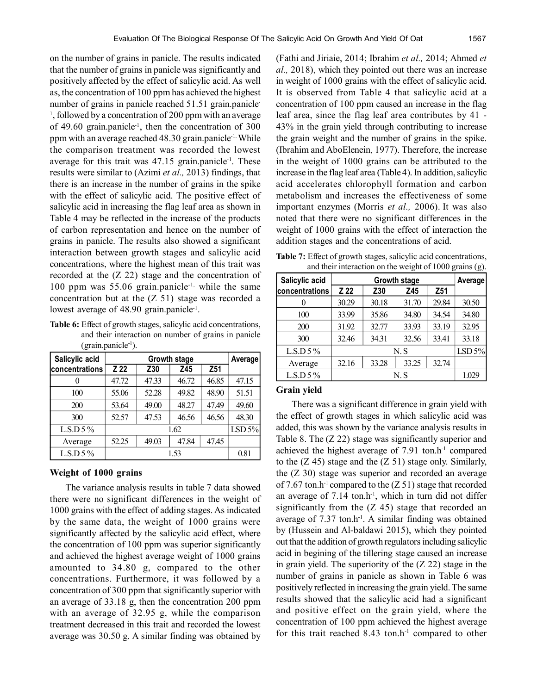on the number of grains in panicle. The results indicated that the number of grains in panicle was significantly and positively affected by the effect of salicylic acid. As well as, the concentration of 100 ppm has achieved the highest number of grains in panicle reached 51.51 grain.panicle-<sup>1</sup>, followed by a concentration of 200 ppm with an average of 49.60 grain.panicle<sup>-1</sup>, then the concentration of 300 ppm with an average reached 48.30 grain.panicle-1. While the comparison treatment was recorded the lowest average for this trait was  $47.15$  grain.panicle<sup>-1</sup>. These results were similar to (Azimi *et al.,* 2013) findings, that there is an increase in the number of grains in the spike with the effect of salicylic acid. The positive effect of salicylic acid in increasing the flag leaf area as shown in Table 4 may be reflected in the increase of the products of carbon representation and hence on the number of grains in panicle. The results also showed a significant interaction between growth stages and salicylic acid concentrations, where the highest mean of this trait was recorded at the (Z 22) stage and the concentration of 100 ppm was  $55.06$  grain.panicle<sup>-1,</sup> while the same concentration but at the  $(Z 51)$  stage was recorded a lowest average of 48.90 grain.panicle<sup>-1</sup>.

**Table 6:** Effect of growth stages, salicylic acid concentrations, and their interaction on number of grains in panicle  $(grain.panicle<sup>-1</sup>).$ 

| Salicylic acid |       | <b>Growth stage</b> |       |                 |       |  |  |
|----------------|-------|---------------------|-------|-----------------|-------|--|--|
| concentrations | Z 22  | Z30                 | Z45   | Z <sub>51</sub> |       |  |  |
|                | 47.72 | 47.33               | 46.72 | 46.85           | 47.15 |  |  |
| 100            | 55.06 | 52.28               | 49.82 | 48.90           | 51.51 |  |  |
| 200            | 53.64 | 49.00               | 48.27 | 47.49           | 49.60 |  |  |
| 300            | 52.57 | 47.53               | 46.56 | 46.56           | 48.30 |  |  |
| $L.S.D 5 \%$   |       | 1.62                |       |                 |       |  |  |
| Average        | 52.25 | 49.03               | 47.84 | 47.45           |       |  |  |
| L.S.D $5\%$    |       |                     | 1.53  |                 | 0.81  |  |  |

## **Weight of 1000 grains**

The variance analysis results in table 7 data showed there were no significant differences in the weight of 1000 grains with the effect of adding stages. As indicated by the same data, the weight of 1000 grains were significantly affected by the salicylic acid effect, where the concentration of 100 ppm was superior significantly and achieved the highest average weight of 1000 grains amounted to 34.80 g, compared to the other concentrations. Furthermore, it was followed by a concentration of 300 ppm that significantly superior with an average of 33.18 g, then the concentration 200 ppm with an average of 32.95 g, while the comparison treatment decreased in this trait and recorded the lowest average was 30.50 g. A similar finding was obtained by

(Fathi and Jiriaie, 2014; Ibrahim *et al.,* 2014; Ahmed *et al.,* 2018), which they pointed out there was an increase in weight of 1000 grains with the effect of salicylic acid. It is observed from Table 4 that salicylic acid at a concentration of 100 ppm caused an increase in the flag leaf area, since the flag leaf area contributes by 41 - 43% in the grain yield through contributing to increase the grain weight and the number of grains in the spike. (Ibrahim and AboElenein, 1977). Therefore, the increase in the weight of 1000 grains can be attributed to the increase in the flag leaf area (Table 4). In addition, salicylic acid accelerates chlorophyll formation and carbon metabolism and increases the effectiveness of some important enzymes (Morris *et al.,* 2006). It was also noted that there were no significant differences in the weight of 1000 grains with the effect of interaction the addition stages and the concentrations of acid.

| <b>Table 7:</b> Effect of growth stages, salicylic acid concentrations, |  |  |  |
|-------------------------------------------------------------------------|--|--|--|
| and their interaction on the weight of $1000$ grains (g).               |  |  |  |

| Salicylic acid |       | Average |       |       |        |
|----------------|-------|---------|-------|-------|--------|
| concentrations | Z 22  | Z30     | Z45   | Z51   |        |
|                | 30.29 | 30.18   | 31.70 | 29.84 | 30.50  |
| 100            | 33.99 | 35.86   | 34.80 | 34.54 | 34.80  |
| 200            | 31.92 | 32.77   | 33.93 | 33.19 | 32.95  |
| 300            | 32.46 | 34.31   | 32.56 | 33.41 | 33.18  |
| $L.S.D 5\%$    |       |         | N.S   |       | LSD 5% |
| Average        | 32.16 | 33.28   | 33.25 | 32.74 |        |
| $L.S.D 5\%$    |       |         | N.S   |       | 1.029  |

#### **Grain yield**

There was a significant difference in grain yield with the effect of growth stages in which salicylic acid was added, this was shown by the variance analysis results in Table 8. The (Z 22) stage was significantly superior and achieved the highest average of 7.91 ton.h-1 compared to the  $(Z 45)$  stage and the  $(Z 51)$  stage only. Similarly, the (Z 30) stage was superior and recorded an average of 7.67 ton.h<sup>-1</sup> compared to the  $(Z 51)$  stage that recorded an average of  $7.14$  ton.h<sup>-1</sup>, which in turn did not differ significantly from the  $(Z 45)$  stage that recorded an average of  $7.37$  ton.h<sup>-1</sup>. A similar finding was obtained by (Hussein and Al-baldawi 2015), which they pointed out that the addition of growth regulators including salicylic acid in begining of the tillering stage caused an increase in grain yield. The superiority of the (Z 22) stage in the number of grains in panicle as shown in Table 6 was positively reflected in increasing the grain yield. The same results showed that the salicylic acid had a significant and positive effect on the grain yield, where the concentration of 100 ppm achieved the highest average for this trait reached  $8.43$  ton.h<sup>-1</sup> compared to other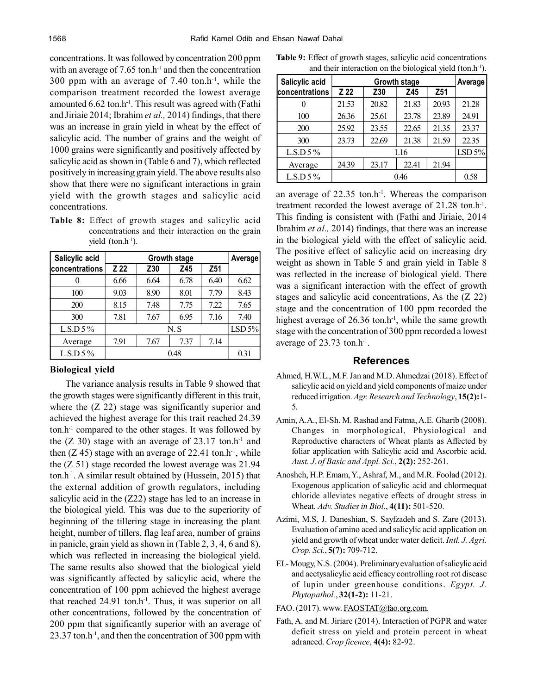concentrations. It was followed by concentration 200 ppm with an average of  $7.65$  ton.h<sup>-1</sup> and then the concentration 300 ppm with an average of  $7.40$  ton.h<sup>-1</sup>, while the comparison treatment recorded the lowest average amounted  $6.62 \text{ ton.h}^{-1}$ . This result was agreed with (Fathi and Jiriaie 2014; Ibrahim *et al.,* 2014) findings, that there was an increase in grain yield in wheat by the effect of salicylic acid. The number of grains and the weight of 1000 grains were significantly and positively affected by salicylic acid as shown in (Table 6 and 7), which reflected positively in increasing grain yield. The above results also show that there were no significant interactions in grain yield with the growth stages and salicylic acid concentrations.

**Table 8:** Effect of growth stages and salicylic acid concentrations and their interaction on the grain yield  $(ton.h^{-1})$ .

| Salicylic acid |      | Average                       |      |      |        |
|----------------|------|-------------------------------|------|------|--------|
| concentrations | Z 22 | Z <sub>51</sub><br>Z30<br>Z45 |      |      |        |
|                | 6.66 | 6.64                          | 6.78 | 6.40 | 6.62   |
| 100            | 9.03 | 8.90                          | 8.01 | 7.79 | 8.43   |
| 200            | 8.15 | 7.48                          | 7.75 | 7.22 | 7.65   |
| 300            | 7.81 | 7.67                          | 6.95 | 7.16 | 7.40   |
| L.S.D $5\%$    |      |                               | N.S  |      | LSD 5% |
| Average        | 7.91 | 7.67                          | 7.37 | 7.14 |        |
| $L.S.D 5 \%$   |      |                               | 0.48 |      | 0.31   |

#### **Biological yield**

The variance analysis results in Table 9 showed that the growth stages were significantly different in this trait, where the  $(Z 22)$  stage was significantly superior and achieved the highest average for this trait reached 24.39 ton.h-1 compared to the other stages. It was followed by the  $(Z\ 30)$  stage with an average of 23.17 ton.h<sup>-1</sup> and then  $(Z 45)$  stage with an average of 22.41 ton.h<sup>-1</sup>, while the (Z 51) stage recorded the lowest average was 21.94 ton.h<sup>-1</sup>. A similar result obtained by (Hussein, 2015) that the external addition of growth regulators, including salicylic acid in the (Z22) stage has led to an increase in the biological yield. This was due to the superiority of beginning of the tillering stage in increasing the plant height, number of tillers, flag leaf area, number of grains in panicle, grain yield as shown in (Table 2, 3, 4, 6 and 8), which was reflected in increasing the biological yield. The same results also showed that the biological yield was significantly affected by salicylic acid, where the concentration of 100 ppm achieved the highest average that reached  $24.91$  ton.h<sup>-1</sup>. Thus, it was superior on all other concentrations, followed by the concentration of 200 ppm that significantly superior with an average of  $23.37$  ton.h<sup>-1</sup>, and then the concentration of 300 ppm with

|  |  | <b>Table 9:</b> Effect of growth stages, salicylic acid concentrations |  |  |
|--|--|------------------------------------------------------------------------|--|--|
|  |  | and their interaction on the biological yield $(ton.h^{-1})$ .         |  |  |

| Salicylic acid | Growth stage |       |       |                 |         |  |
|----------------|--------------|-------|-------|-----------------|---------|--|
| concentrations | Z 22         | Z30   | Z45   | Z <sub>51</sub> | Average |  |
|                | 21.53        | 20.82 | 21.83 | 20.93           | 21.28   |  |
| 100            | 26.36        | 25.61 | 23.78 | 23.89           | 24.91   |  |
| 200            | 25.92        | 23.55 | 22.65 | 21.35           | 23.37   |  |
| 300            | 23.73        | 22.69 | 21.38 | 21.59           | 22.35   |  |
| L.S.D $5\%$    |              |       | 1.16  |                 | LSD 5%  |  |
| Average        | 24.39        | 23.17 | 22.41 | 21.94           |         |  |
| $L.S.D 5\%$    |              | 0.46  |       |                 |         |  |

an average of 22.35 ton.h-1. Whereas the comparison treatment recorded the lowest average of 21.28 ton.h<sup>-1</sup>. This finding is consistent with (Fathi and Jiriaie, 2014 Ibrahim *et al.,* 2014) findings, that there was an increase in the biological yield with the effect of salicylic acid. The positive effect of salicylic acid on increasing dry weight as shown in Table 5 and grain yield in Table 8 was reflected in the increase of biological yield. There was a significant interaction with the effect of growth stages and salicylic acid concentrations, As the (Z 22) stage and the concentration of 100 ppm recorded the highest average of  $26.36$  ton.h<sup>-1</sup>, while the same growth stage with the concentration of 300 ppm recorded a lowest average of  $23.73$  ton.h<sup>-1</sup>.

# **References**

- Ahmed, H.W.L., M.F. Jan and M.D. Ahmedzai (2018). Effect of salicylic acid on yield and yield components of maize under reduced irrigation. *Agr. Research and Technology*, **15(2):**1- 5.
- Amin, A.A., El-Sh. M. Rashad and Fatma, A.E. Gharib (2008). Changes in morphological, Physiological and Reproductive characters of Wheat plants as Affected by foliar application with Salicylic acid and Ascorbic acid. *Aust. J. of Basic and Appl. Sci.*, **2(2):** 252-261.
- Anosheh, H.P. Emam, Y., Ashraf, M., and M.R. Foolad (2012). Exogenous application of salicylic acid and chlormequat chloride alleviates negative effects of drought stress in Wheat. *Adv. Studies in Biol*., **4(11):** 501-520.
- Azimi, M.S, J. Daneshian, S. Sayfzadeh and S. Zare (2013). Evaluation of amino aced and salicylic acid application on yield and growth of wheat under water deficit. *Intl. J. Agri. Crop. Sci.*, **5(7):** 709-712.
- EL- Mougy, N.S. (2004). Preliminary evaluation of salicylic acid and acetysalicylic acid efficacy controlling root rot disease of lupin under greenhouse conditions. *Egypt. J. Phytopathol.*, **32(1-2):** 11-21.
- FAO. (2017). www. FAOSTAT@fao.org.com.
- Fath, A. and M. Jiriare (2014). Interaction of PGPR and water deficit stress on yield and protein percent in wheat adranced. *Crop ficence*, **4(4):** 82-92.